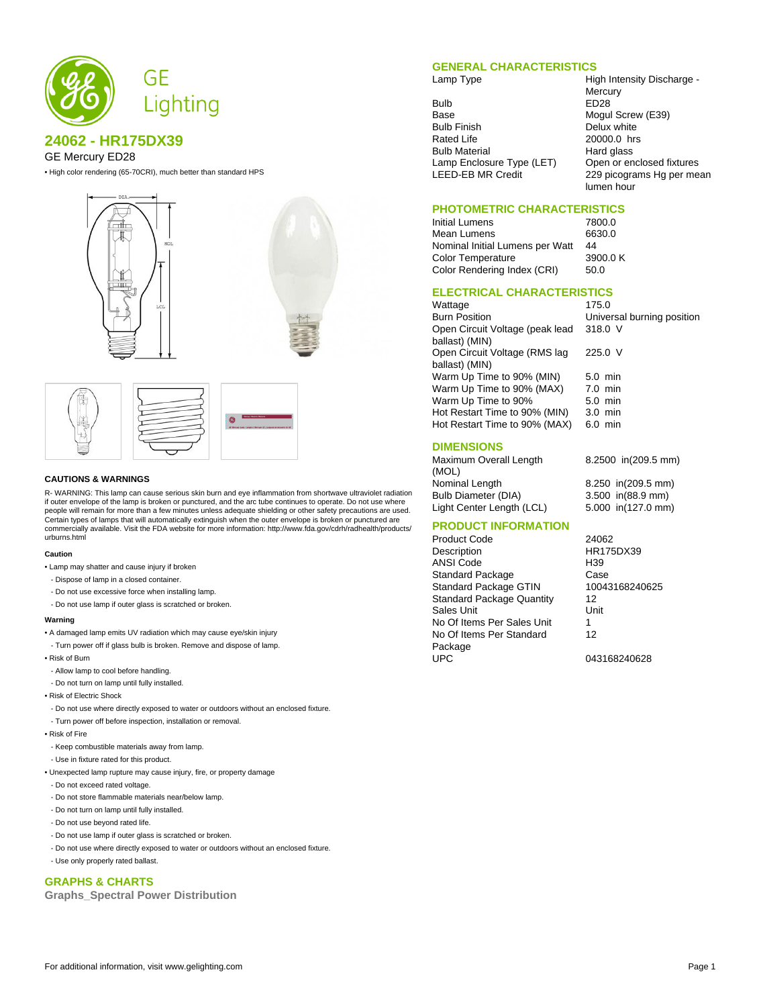

# **24062 - HR175DX39**

### GE Mercury ED28

• High color rendering (65-70CRI), much better than standard HPS





#### **CAUTIONS & WARNINGS**

R- WARNING: This lamp can cause serious skin burn and eye inflammation from shortwave ultraviolet radiation if outer envelope of the lamp is broken or punctured, and the arc tube continues to operate. Do not use where people will remain for more than a few minutes unless adequate shielding or other safety precautions are used. Certain types of lamps that will automatically extinguish when the outer envelope is broken or punctured are commercially available. Visit the FDA website for more information: http://www.fda.gov/cdrh/radhealth/products/ urburns.html

#### **Caution**

• Lamp may shatter and cause injury if broken

- Dispose of lamp in a closed container.
- Do not use excessive force when installing lamp.
- Do not use lamp if outer glass is scratched or broken.

#### **Warning**

- A damaged lamp emits UV radiation which may cause eye/skin injury
- Turn power off if glass bulb is broken. Remove and dispose of lamp.
- Risk of Burn
- Allow lamp to cool before handling.
- Do not turn on lamp until fully installed.
- Risk of Electric Shock
- Do not use where directly exposed to water or outdoors without an enclosed fixture.
- Turn power off before inspection, installation or removal.

#### • Risk of Fire

- Keep combustible materials away from lamp.
- Use in fixture rated for this product.
- Unexpected lamp rupture may cause injury, fire, or property damage
- Do not exceed rated voltage.
- Do not store flammable materials near/below lamp.
- Do not turn on lamp until fully installed.
- Do not use beyond rated life.
- Do not use lamp if outer glass is scratched or broken.
- Do not use where directly exposed to water or outdoors without an enclosed fixture.
- Use only properly rated ballast.

### **GRAPHS & CHARTS**

**Graphs\_Spectral Power Distribution**

#### **GENERAL CHARACTERISTICS**

Bulb ED28<br>Base Moqui Base Mogul Screw (E39)<br>Bulb Finish **Bulb Screw Mogul Screw (E39)** Bulb Finish Delux white<br>Rated Life 20000.0 hrs Bulb Material **Hard glass** 

Lamp Type **High Intensity Discharge -Mercury** 20000.0 hrs Lamp Enclosure Type (LET) Open or enclosed fixtures<br>LEED-EB MR Credit 229 picograms Hg per mea 229 picograms Hg per mean lumen hour

### **PHOTOMETRIC CHARACTERISTICS**

| Initial Lumens                  | 7800.0  |
|---------------------------------|---------|
| Mean Lumens                     | 6630.0  |
| Nominal Initial Lumens per Watt | 44      |
| <b>Color Temperature</b>        | 3900.0K |
| Color Rendering Index (CRI)     | 50.0    |

### **ELECTRICAL CHARACTERISTICS**

| Wattage                         | 175.0                      |
|---------------------------------|----------------------------|
| <b>Burn Position</b>            | Universal burning position |
| Open Circuit Voltage (peak lead | 318.0 V                    |
| ballast) (MIN)                  |                            |
| Open Circuit Voltage (RMS lag   | 225.0 V                    |
| ballast) (MIN)                  |                            |
| Warm Up Time to 90% (MIN)       | $5.0 \text{ min}$          |
| Warm Up Time to 90% (MAX)       | $7.0$ min                  |
| Warm Up Time to 90%             | $5.0$ min                  |
| Hot Restart Time to 90% (MIN)   | $3.0$ min                  |
| Hot Restart Time to 90% (MAX)   | $6.0$ min                  |
|                                 |                            |

### **DIMENSIONS**

Maximum Overall Length (MOL) 8.2500 in(209.5 mm) Nominal Length 8.250 in(209.5 mm) Bulb Diameter (DIA) 3.500 in(88.9 mm)<br>
Light Center Length (LCL) 5.000 in(127.0 mm) Light Center Length (LCL)

## **PRODUCT INFORMATION**

Product Code 24062<br>Description HR175 ANSI Code H39 Standard Package Case<br>
Standard Package GTIN 10043168240625 Standard Package GTIN Standard Package Quantity 12<br>Sales Unit Unit **Sales Unit** No Of Items Per Sales Unit 1 No Of Items Per Standard Package<br>UPC

Description HR175DX39 12

043168240628